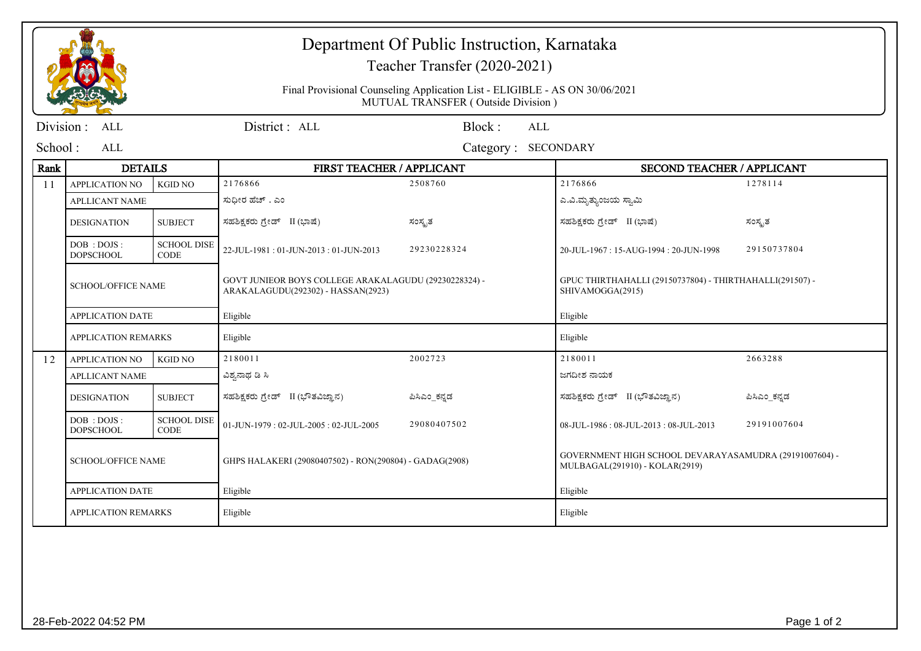## Department Of Public Instruction, Karnataka

## Teacher Transfer (2020-2021)

Final Provisional Counseling Application List - ELIGIBLE - AS ON 30/06/2021MUTUAL TRANSFER ( Outside Division )

| Division :                               | ALL                                                                                                                      |                                   | District: ALL                         | Block:<br>ALL                                                                            |                                       |              |  |
|------------------------------------------|--------------------------------------------------------------------------------------------------------------------------|-----------------------------------|---------------------------------------|------------------------------------------------------------------------------------------|---------------------------------------|--------------|--|
| School:<br>ALL<br>Category:<br>SECONDARY |                                                                                                                          |                                   |                                       |                                                                                          |                                       |              |  |
| Rank                                     | <b>DETAILS</b>                                                                                                           |                                   | FIRST TEACHER / APPLICANT             |                                                                                          | <b>SECOND TEACHER / APPLICANT</b>     |              |  |
| 11                                       | <b>APPLICATION NO</b>                                                                                                    | KGID NO                           | 2176866                               | 2508760                                                                                  | 2176866                               | 1278114      |  |
|                                          | <b>APLLICANT NAME</b>                                                                                                    |                                   | ಸುಧೀರ ಹೆಚ್ . ಎಂ                       |                                                                                          | ಎ.ವಿ.ಮೃತ್ಯುಂಜಯ ಸ್ವಾಮಿ                 |              |  |
|                                          | <b>DESIGNATION</b>                                                                                                       | <b>SUBJECT</b>                    | ಸಹಶಿಕ್ಷಕರು ಗ್ರೇಡ್ II (ಭಾಷೆ)           | ಸಂಸ್ಪತ                                                                                   | ಸಹಶಿಕ್ಷಕರು ಗ್ರೇಡ್ II (ಭಾಷೆ)           | ಸಂಸ್ಕೃತ      |  |
|                                          | DOB : DOJS :<br><b>DOPSCHOOL</b>                                                                                         | <b>SCHOOL DISE</b><br><b>CODE</b> | 22-JUL-1981: 01-JUN-2013: 01-JUN-2013 | 29230228324                                                                              | 20-JUL-1967: 15-AUG-1994: 20-JUN-1998 | 29150737804  |  |
|                                          | GOVT JUNIEOR BOYS COLLEGE ARAKALAGUDU (29230228324) -<br><b>SCHOOL/OFFICE NAME</b><br>ARAKALAGUDU(292302) - HASSAN(2923) |                                   |                                       | GPUC THIRTHAHALLI (29150737804) - THIRTHAHALLI (291507) -<br>SHIVAMOGGA(2915)            |                                       |              |  |
|                                          | <b>APPLICATION DATE</b>                                                                                                  |                                   | Eligible                              |                                                                                          | Eligible                              |              |  |
|                                          | <b>APPLICATION REMARKS</b>                                                                                               |                                   | Eligible                              |                                                                                          | Eligible                              |              |  |
| 12                                       | <b>APPLICATION NO</b>                                                                                                    | <b>KGID NO</b>                    | 2180011                               | 2002723                                                                                  | 2180011                               | 2663288      |  |
|                                          | <b>APLLICANT NAME</b>                                                                                                    |                                   | ವಿಶ್ವನಾಥ ಡಿ ಸಿ                        |                                                                                          | ಜಗದೀಶ ನಾಯಕ                            |              |  |
|                                          | <b>DESIGNATION</b>                                                                                                       | <b>SUBJECT</b>                    | ಸಹಶಿಕ್ಷಕರು ಗ್ರೇಡ್ II (ಭೌತವಿಜ್ಞಾನ)     | ಪಿಸಿಎಂ ಕನ್ನಡ                                                                             | ಸಹಶಿಕ್ಷಕರು ಗ್ರೇಡ್ II (ಭೌತವಿಜ್ಞಾನ)     | ಪಿಸಿಎಂ ಕನ್ನಡ |  |
|                                          | DOB : DOJS :<br><b>DOPSCHOOL</b>                                                                                         | <b>SCHOOL DISE</b><br><b>CODE</b> | 01-JUN-1979: 02-JUL-2005: 02-JUL-2005 | 29080407502                                                                              | 08-JUL-1986: 08-JUL-2013: 08-JUL-2013 | 29191007604  |  |
|                                          | <b>SCHOOL/OFFICE NAME</b><br>GHPS HALAKERI (29080407502) - RON(290804) - GADAG(2908)                                     |                                   |                                       | GOVERNMENT HIGH SCHOOL DEVARAYASAMUDRA (29191007604) -<br>MULBAGAL(291910) - KOLAR(2919) |                                       |              |  |
|                                          | <b>APPLICATION DATE</b><br>Eligible                                                                                      |                                   | Eligible                              |                                                                                          |                                       |              |  |
|                                          | <b>APPLICATION REMARKS</b><br>Eligible                                                                                   |                                   | Eligible                              |                                                                                          |                                       |              |  |